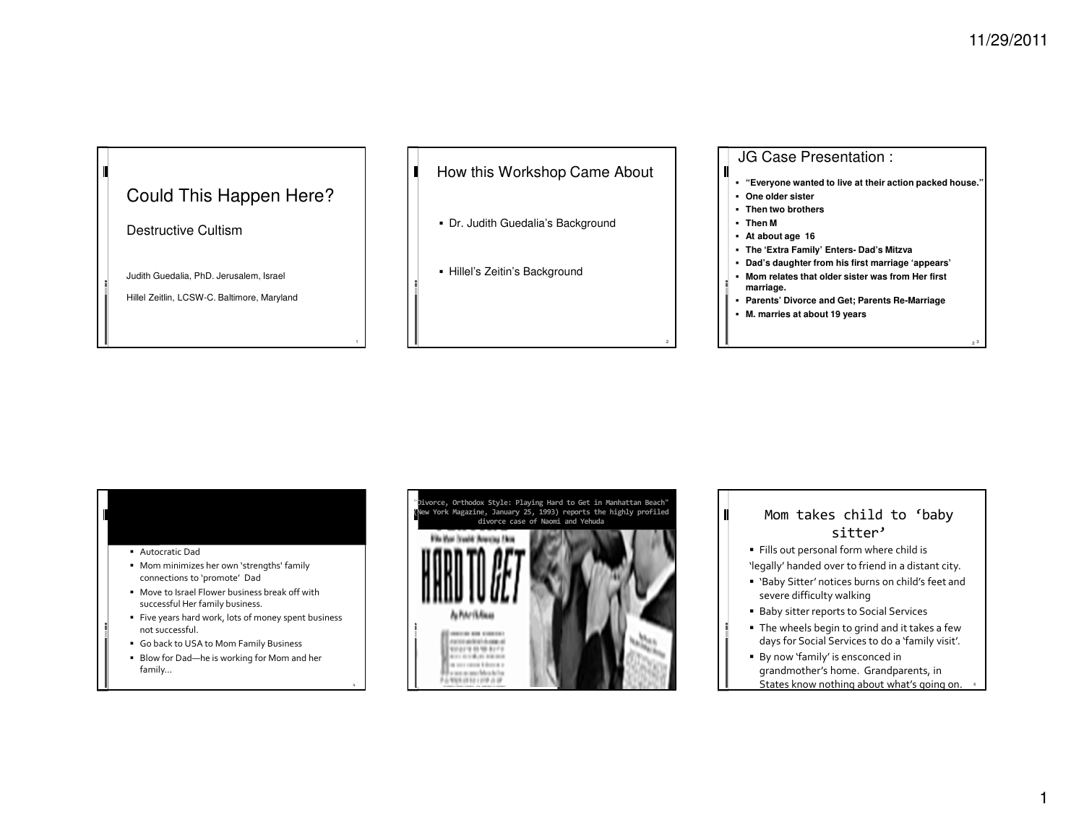3

# Could This Happen Here?

Destructive Cultism

Judith Guedalia, PhD. Jerusalem, Israel

Hillel Zeitlin, LCSW-C. Baltimore, Maryland

How this Workshop Came AboutП

- Dr. Judith Guedalia's Background
- Hillel's Zeitin's Background

# JG Case Presentation :

- **"Everyone wanted to live at their action packed house."**
- **One older sister**
- **Then two brothers**
- **Then M**

Ш

- **At about age 16**
- **The 'Extra Family' Enters- Dad's Mitzva**
- **Dad's daughter from his first marriage 'appears'**
- **Mom relates that older sister was from Her first marriage.**
- **Parents' Divorce and Get; Parents Re-Marriage**
- **M. marries at about 19 years**

### Autocratic Dad

- Mom minimizes her own 'strengths' family connections to 'promote' Dad
- Move to Israel Flower business break off with successful Her family business.
- Five years hard work, lots of money spent business not successful.
- Go back to USA to Mom Family Business
- Blow for Dad—he is working for Mom and her family…





- Fills out personal form where child is 'legally' handed over to friend in a distant city.
- 'Baby Sitter' notices burns on child's feet and severe difficulty walking
- Baby sitter reports to Social Services
- The wheels begin to grind and it takes a few days for Social Services to do a 'family visit'.
- By now 'family' is ensconced in grandmother's home. Grandparents, in States know nothing about what's going on. <sup>6</sup>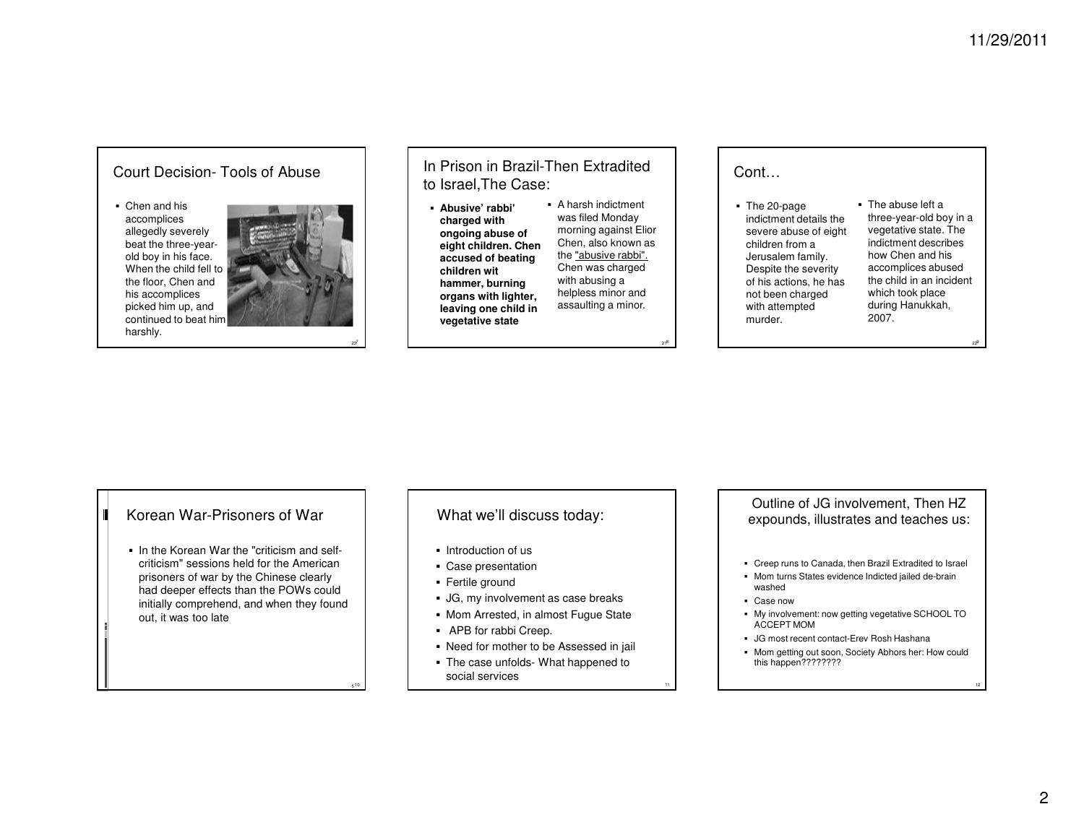## Court Decision- Tools of Abuse

 Chen and his accomplices allegedly severely beat the three-yearold boy in his face. When the child fell to the floor, Chen and his accomplices picked him up, and continued to beat him harshly.



237

<sup>10</sup>

In Prison in Brazil-Then Extradited to Israel,The Case:

 **Abusive' rabbi' charged with ongoing abuse of eight children. Chen accused of beating children wit hammer, burning organs with lighter, leaving one child in vegetative state**

 A harsh indictment was filed Monday morning against Elior Chen, also known as the "abusive rabbi". Chen was charged with abusing a helpless minor and assaulting a minor.

218

Cont…

 The 20-page indictment details the severe abuse of eight children from a Jerusalem family. Despite the severity of his actions, he has not been charged with attempted murder.

 The abuse left a three-year-old boy in a vegetative state. The indictment describes how Chen and his accomplices abused the child in an incident which took place during Hanukkah, 2007.

229

# **Korean War-Prisoners of War**

 $\textcolor{red}{\bullet}$  In the Korean War the "criticism and selfcriticism" sessions held for the American prisoners of war by the Chinese clearly had deeper effects than the POWs could initially comprehend, and when they found out, it was too late

# What we'll discuss today:

- $\blacksquare$  Introduction of us
- Case presentation
- Fertile ground
- JG, my involvement as case breaks
- **Mom Arrested, in almost Fugue State**
- APB for rabbi Creep.
- Need for mother to be Assessed in jail
- The case unfolds- What happened to social services

Outline of JG involvement, Then HZ expounds, illustrates and teaches us:

- Creep runs to Canada, then Brazil Extradited to Israel
- Mom turns States evidence Indicted jailed de-brain washed
- Case now
- My involvement: now getting vegetative SCHOOL TO ACCEPT MOM
- JG most recent contact-Erev Rosh Hashana
- Mom getting out soon, Society Abhors her: How couldthis happen????????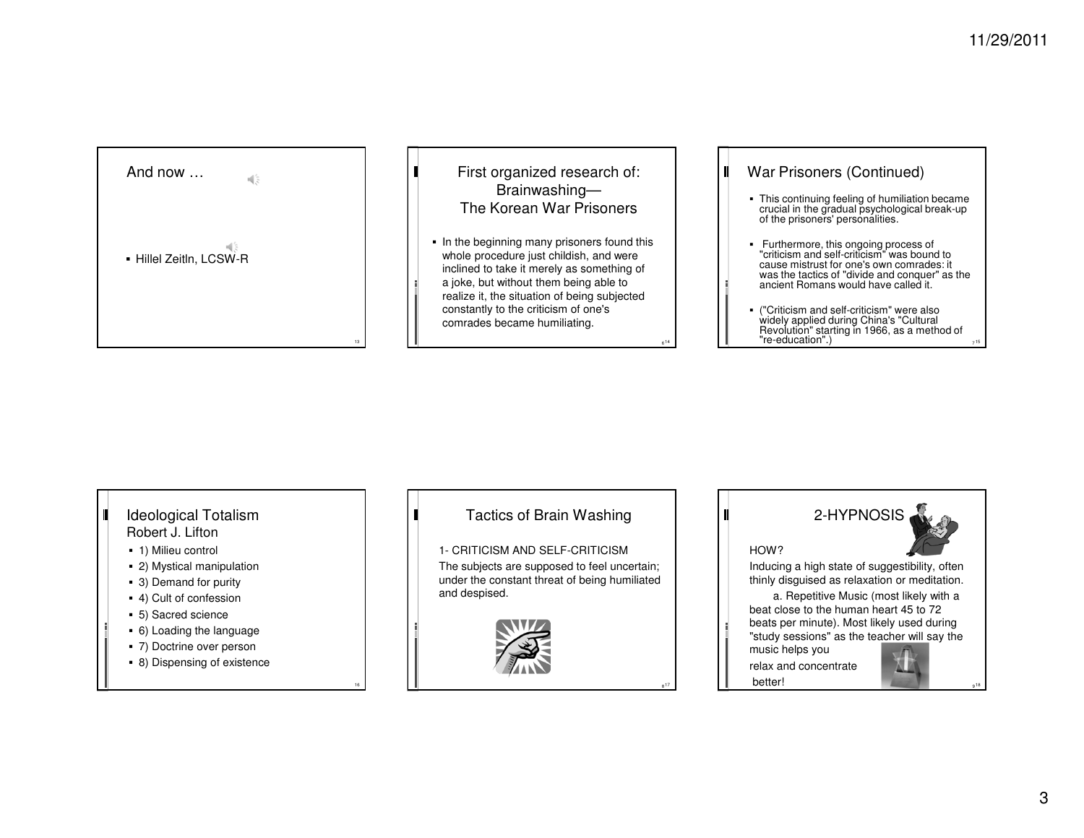

# First organized research of:Brainwashing—The Korean War Prisoners

П

Ш

In the beginning many prisoners found this whole procedure just childish, and were inclined to take it merely as something of a joke, but without them being able to realize it, the situation of being subjected constantly to the criticism of one's comrades became humiliating.

<sup>14</sup>

 $\blacksquare$ 

 $^{\frac{1}{3}}$ 

# War Prisoners (Continued)

- This continuing feeling of humiliation became crucial in the gradual psychological break-up of the prisoners' personalities.
- Furthermore, this ongoing process of "criticism and self-criticism" was bound to cause mistrust for one's own comrades: it was the tactics of "divide and conquer" as the ancient Romans would have called it.
- ("Criticism and self-criticism" were also widely applied during China's "Cultural Revolution" starting in 1966, as a method of "re-education".) 7<sup>15</sup>

### Ideological TotalismШ Robert J. Lifton

- 1) Milieu control
- 2) Mystical manipulation
- 3) Demand for purity
- 4) Cult of confession
- 5) Sacred science
- 6) Loading the language
- 7) Doctrine over person
- 8) Dispensing of existence

16

# Tactics of Brain Washing

1- CRITICISM AND SELF-CRITICISM The subjects are supposed to feel uncertain; under the constant threat of being humiliated and despised.





music helps you relax and concentratebetter!

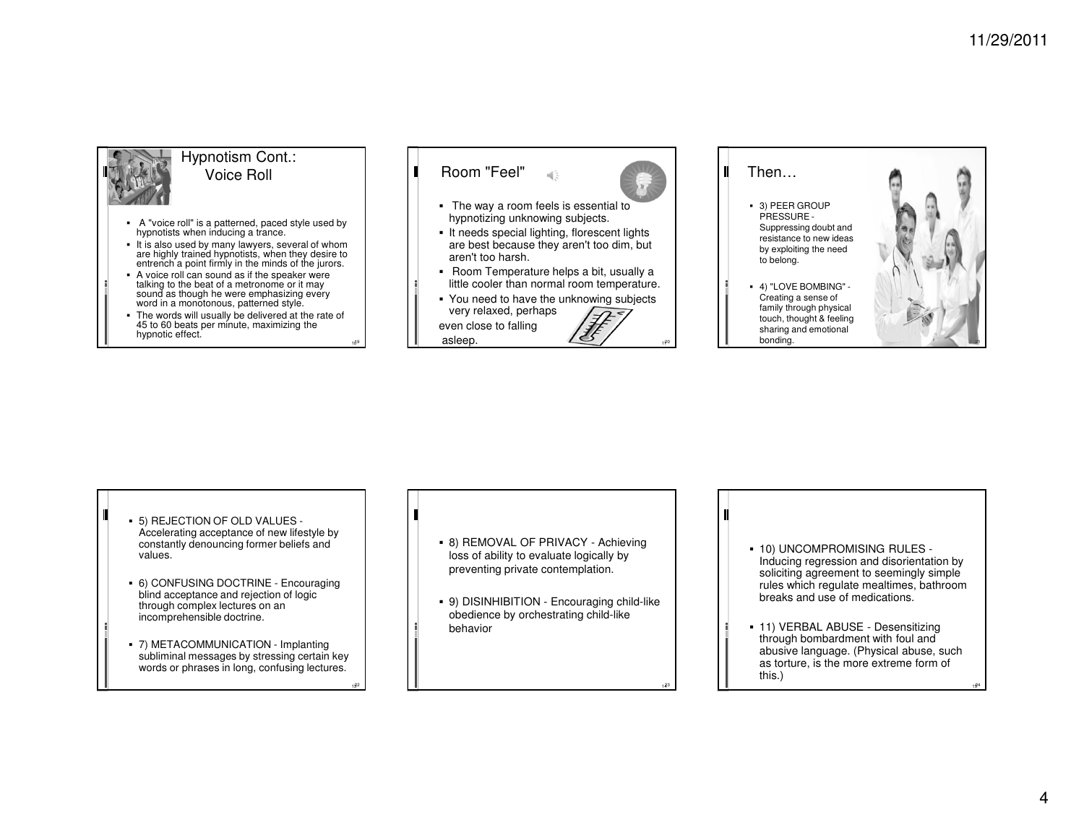

## Hypnotism Cont.: Voice Roll

- A "voice roll" is a patterned, paced style used by hypnotists when inducing a trance.
- It is also used by many lawyers, several of whom are highly trained hypnotists, when they desire to entrench a point firmly in the minds of the jurors.
- A voice roll can sound as if the speaker were talking to the beat of a metronome or it may sound as though he were emphasizing every word in a monotonous, patterned style.
- The words will usually be delivered at the rate of 45 to 60 beats per minute, maximizing the hypnotic effect.

1019

1322

Room "Feel"

П

П

- The way a room feels is essential to hypnotizing unknowing subjects.
- It needs special lighting, florescent lights are best because they aren't too dim, but aren't too harsh.
- Room Temperature helps a bit, usually a little cooler than normal room temperature.
- You need to have the unknowing subjects very relaxed, perhaps even close to fallingasleep.  $\angle 3$



1423

Then…

- 3) PEER GROUP PRESSURE - Suppressing doubt and resistance to new ideas by exploiting the need to belong.
- 4) "LOVE BOMBING" Creating a sense of family through physical touch, thought & feeling sharing and emotional bonding.



- 5) REJECTION OF OLD VALUES Accelerating acceptance of new lifestyle by constantly denouncing former beliefs and values.
- 6) CONFUSING DOCTRINE Encouraging blind acceptance and rejection of logic through complex lectures on an incomprehensible doctrine.
- 7) METACOMMUNICATION Implanting subliminal messages by stressing certain key words or phrases in long, confusing lectures.
- 8) REMOVAL OF PRIVACY Achieving loss of ability to evaluate logically by preventing private contemplation.
- 9) DISINHIBITION Encouraging child-like obedience by orchestrating child-like behavior
- 10) UNCOMPROMISING RULES Inducing regression and disorientation by soliciting agreement to seemingly simple rules which regulate mealtimes, bathroom breaks and use of medications.
- 11) VERBAL ABUSE Desensitizing through bombardment with foul and abusive language. (Physical abuse, such as torture, is the more extreme form of this.)

1524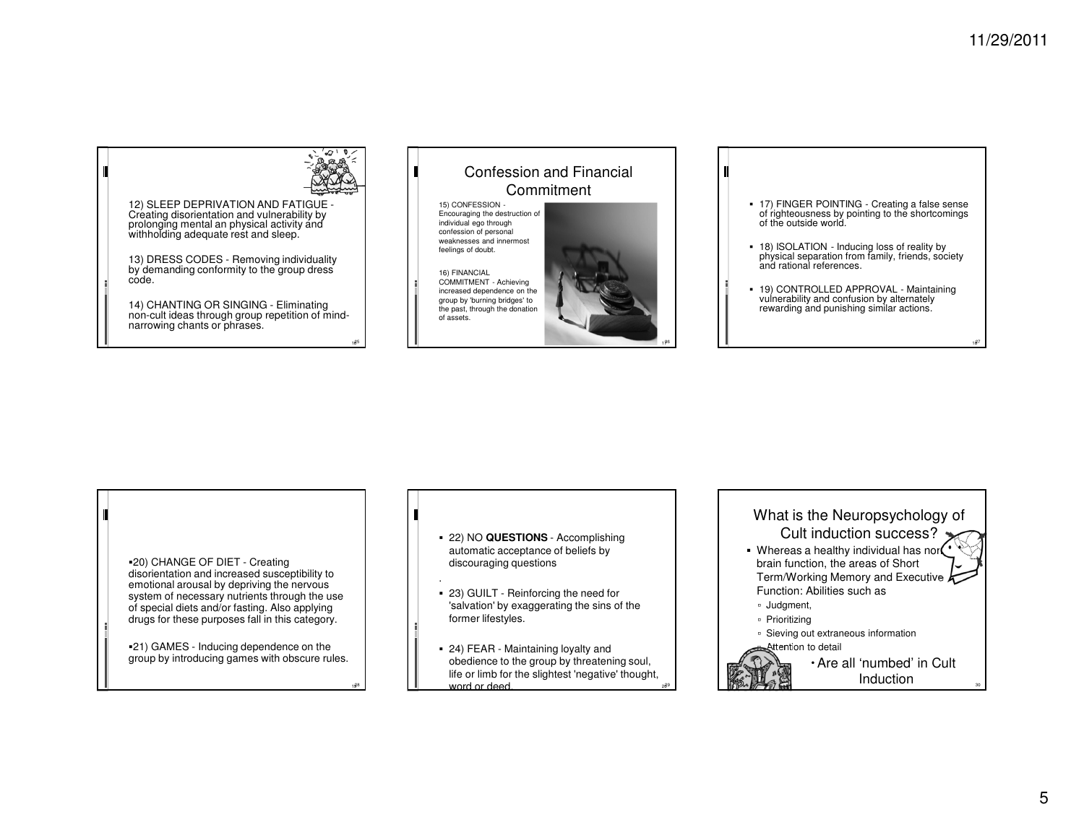1827

12) SLEEP DEPRIVATION AND FATIGUE - Creating disorientation and vulnerability by prolonging mental an physical activity and withholding adequate rest and sleep.

13) DRESS CODES - Removing individuality by demanding conformity to the group dress code.

14) CHANTING OR SINGING - Eliminating non-cult ideas through group repetition of mindnarrowing chants or phrases.



20) CHANGE OF DIET - Creating disorientation and increased susceptibility to emotional arousal by depriving the nervous system of necessary nutrients through the use of special diets and/or fasting. Also applying drugs for these purposes fall in this category.

21) GAMES - Inducing dependence on the group by introducing games with obscure rules.

1928

 22) NO **QUESTIONS** - Accomplishing automatic acceptance of beliefs by discouraging questions

.

Ш

- 23) GUILT Reinforcing the need for 'salvation' by exaggerating the sins of the former lifestyles.
- 24) FEAR Maintaining loyalty and obedience to the group by threatening soul, life or limb for the slightest 'negative' thought, word or deed.

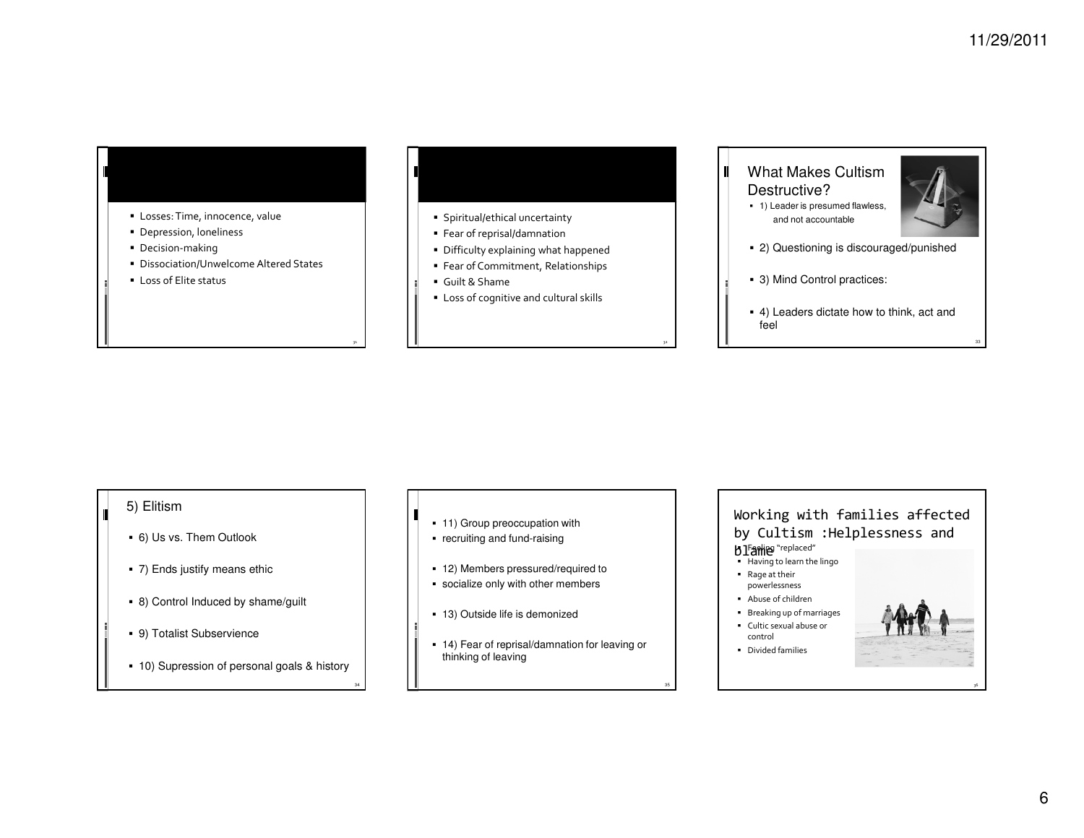- Losses: Time, innocence, value
- Depression, loneliness
- Decision-making
- Dissociation/Unwelcome Altered States
- Loss of Elite status

32

- $\hspace{0.1mm}$  Spiritual/ethical uncertainty
- Fear of reprisal/damnation
- Difficulty explaining what happened
- Fear of Commitment, Relationships
- Guilt & Shame
- Loss of cognitive and cultural skills

# What Makes Cultism Destructive?

П

 1) Leader is presumed flawless, and not accountable



- 2) Questioning is discouraged/punished
- 3) Mind Control practices:
- 4) Leaders dictate how to think, act and feel

## 5) Elitism

- 6) Us vs. Them Outlook
- 7) Ends justify means ethic
- 8) Control Induced by shame/guilt
- 9) Totalist Subservience
- 10) Supression of personal goals & history
- 11) Group preoccupation with
- recruiting and fund-raising

Ш

- 12) Members pressured/required to
- socialize only with other members
- 13) Outside life is demonized
- 14) Fear of reprisal/damnation for leaving or thinking of leaving

## Working with families affected by Cultism :Helplessness and **b** l'atime "replaced" **J I aniles** "replaced"<br>• Having to learn the lingo

- 
- Rage at their powerlessness
- Abuse of children
- Breaking up of marriages
- Cultic sexual abuse or control
- Divided families



36